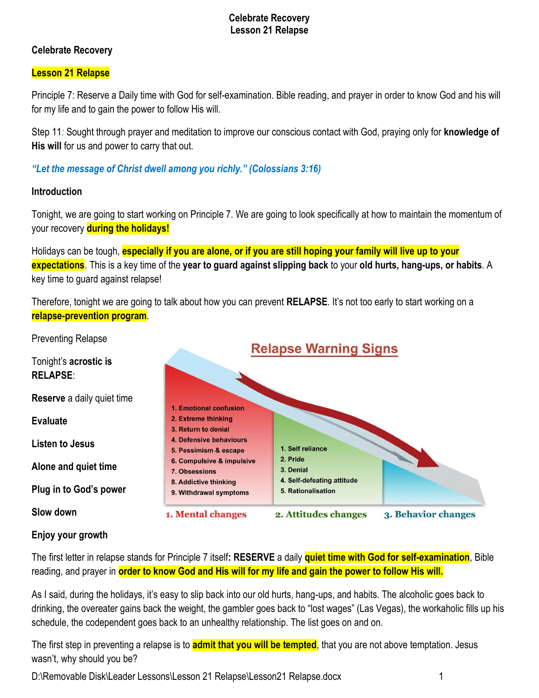# **Celebrate Recovery**

### **Lesson 21 Relapse**

Principle 7: Reserve a Daily time with God for self-examination. Bible reading, and prayer in order to know God and his will for my life and to gain the power to follow His will.

Step 11*:* Sought through prayer and meditation to improve our conscious contact with God, praying only for **knowledge of His will** for us and power to carry that out.

*"Let the message of Christ dwell among you richly." (Colossians 3:16)* 

### **Introduction**

Tonight, we are going to start working on Principle 7. We are going to look specifically at how to maintain the momentum of your recovery **during the holidays!**

Holidays can be tough, **especially if you are alone, or if you are still hoping your family will live up to your expectations**. This is a key time of the **year to guard against slipping back** to your **old hurts, hang-ups, or habits**. A key time to guard against relapse!

Therefore, tonight we are going to talk about how you can prevent **RELAPSE**. It's not too early to start working on a **relapse-prevention program**.



# **Enjoy your growth**

The first letter in relapse stands for Principle 7 itself**: RESERVE** a daily **quiet time with God for self-examination**, Bible reading, and prayer in **order to know God and His will for my life and gain the power to follow His will.**

As I said, during the holidays, it's easy to slip back into our old hurts, hang-ups, and habits. The alcoholic goes back to drinking, the overeater gains back the weight, the gambler goes back to "lost wages" (Las Vegas), the workaholic fills up his schedule, the codependent goes back to an unhealthy relationship. The list goes on and on.

The first step in preventing a relapse is to **admit that you will be tempted**, that you are not above temptation. Jesus wasn't, why should you be?

D:\Removable Disk\Leader Lessons\Lesson 21 Relapse\Lesson21 Relapse.docx 1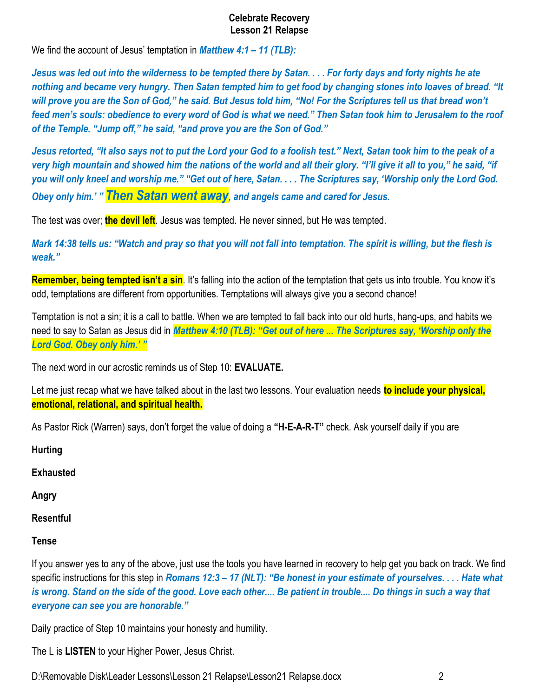We find the account of Jesus' temptation in *Matthew 4:1 – 11 (TLB):* 

*Jesus was led out into the wilderness to be tempted there by Satan. . . . For forty days and forty nights he ate nothing and became very hungry. Then Satan tempted him to get food by changing stones into loaves of bread. "It*  will prove you are the Son of God," he said. But Jesus told him, "No! For the Scriptures tell us that bread won't *feed men's souls: obedience to every word of God is what we need." Then Satan took him to Jerusalem to the roof of the Temple. "Jump off," he said, "and prove you are the Son of God."* 

*Jesus retorted, "It also says not to put the Lord your God to a foolish test." Next, Satan took him to the peak of a very high mountain and showed him the nations of the world and all their glory. "I'll give it all to you," he said, "if you will only kneel and worship me." "Get out of here, Satan. . . . The Scriptures say, 'Worship only the Lord God. Obey only him.' " Then Satan went away, and angels came and cared for Jesus.* 

The test was over; **the devil left**. Jesus was tempted. He never sinned, but He was tempted.

*Mark 14:38 tells us: "Watch and pray so that you will not fall into temptation. The spirit is willing, but the flesh is weak."* 

**Remember, being tempted isn't a sin**. It's falling into the action of the temptation that gets us into trouble. You know it's odd, temptations are different from opportunities. Temptations will always give you a second chance!

Temptation is not a sin; it is a call to battle. When we are tempted to fall back into our old hurts, hang-ups, and habits we need to say to Satan as Jesus did in *Matthew 4:10 (TLB): "Get out of here ... The Scriptures say, 'Worship only the Lord God. Obey only him.' "*

The next word in our acrostic reminds us of Step 10: **EVALUATE.**

Let me just recap what we have talked about in the last two lessons. Your evaluation needs **to include your physical, emotional, relational, and spiritual health.**

As Pastor Rick (Warren) says, don't forget the value of doing a **"H-E-A-R-T"** check. Ask yourself daily if you are

**Hurting** 

**Exhausted** 

**Angry** 

**Resentful** 

**Tense** 

If you answer yes to any of the above, just use the tools you have learned in recovery to help get you back on track. We find specific instructions for this step in *Romans 12:3 – 17 (NLT): "Be honest in your estimate of yourselves. . . . Hate what is wrong. Stand on the side of the good. Love each other.... Be patient in trouble.... Do things in such a way that everyone can see you are honorable."* 

Daily practice of Step 10 maintains your honesty and humility.

The L is **LISTEN** to your Higher Power, Jesus Christ.

D:\Removable Disk\Leader Lessons\Lesson 21 Relapse\Lesson21 Relapse.docx 2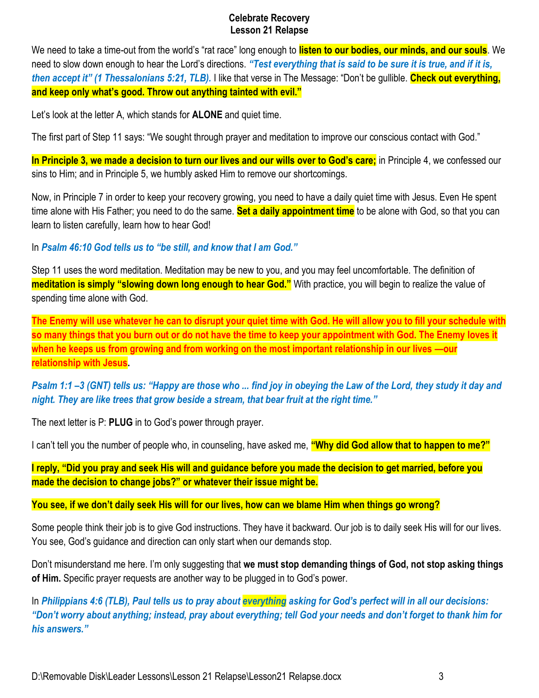We need to take a time-out from the world's "rat race" long enough to **listen to our bodies, our minds, and our souls**. We need to slow down enough to hear the Lord's directions. *"Test everything that is said to be sure it is true, and if it is, then accept it" (1 Thessalonians 5:21, TLB).* I like that verse in The Message: "Don't be gullible. **Check out everything, and keep only what's good. Throw out anything tainted with evil."**

Let's look at the letter A, which stands for **ALONE** and quiet time.

The first part of Step 11 says: "We sought through prayer and meditation to improve our conscious contact with God."

**In Principle 3, we made a decision to turn our lives and our wills over to God's care;** in Principle 4, we confessed our sins to Him; and in Principle 5, we humbly asked Him to remove our shortcomings.

Now, in Principle 7 in order to keep your recovery growing, you need to have a daily quiet time with Jesus. Even He spent time alone with His Father; you need to do the same. **Set a daily appointment time** to be alone with God, so that you can learn to listen carefully, learn how to hear God!

In *Psalm 46:10 God tells us to "be still, and know that I am God."* 

Step 11 uses the word meditation. Meditation may be new to you, and you may feel uncomfortable. The definition of **meditation is simply "slowing down long enough to hear God."** With practice, you will begin to realize the value of spending time alone with God.

**The Enemy will use whatever he can to disrupt your quiet time with God. He will allow you to fill your schedule with so many things that you burn out or do not have the time to keep your appointment with God. The Enemy loves it when he keeps us from growing and from working on the most important relationship in our lives —our relationship with Jesus.** 

*Psalm 1:1 –3 (GNT) tells us: "Happy are those who ... find joy in obeying the Law of the Lord, they study it day and night. They are like trees that grow beside a stream, that bear fruit at the right time."* 

The next letter is P: **PLUG** in to God's power through prayer.

I can't tell you the number of people who, in counseling, have asked me, **"Why did God allow that to happen to me?"**

**I reply, "Did you pray and seek His will and guidance before you made the decision to get married, before you made the decision to change jobs?" or whatever their issue might be.** 

**You see, if we don't daily seek His will for our lives, how can we blame Him when things go wrong?**

Some people think their job is to give God instructions. They have it backward. Our job is to daily seek His will for our lives. You see, God's guidance and direction can only start when our demands stop.

Don't misunderstand me here. I'm only suggesting that **we must stop demanding things of God, not stop asking things of Him.** Specific prayer requests are another way to be plugged in to God's power.

In *Philippians 4:6 (TLB), Paul tells us to pray about everything asking for God's perfect will in all our decisions: "Don't worry about anything; instead, pray about everything; tell God your needs and don't forget to thank him for his answers."*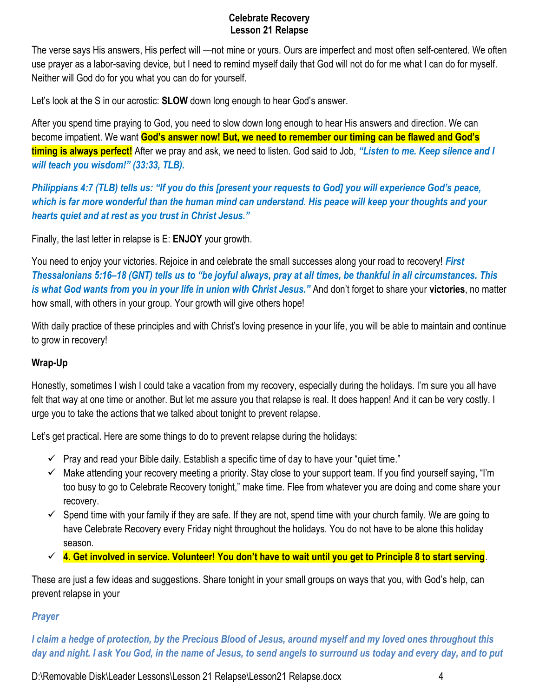The verse says His answers, His perfect will —not mine or yours. Ours are imperfect and most often self-centered. We often use prayer as a labor-saving device, but I need to remind myself daily that God will not do for me what I can do for myself. Neither will God do for you what you can do for yourself.

Let's look at the S in our acrostic: **SLOW** down long enough to hear God's answer.

After you spend time praying to God, you need to slow down long enough to hear His answers and direction. We can become impatient. We want **God's answer now! But, we need to remember our timing can be flawed and God's timing is always perfect!** After we pray and ask, we need to listen. God said to Job, *"Listen to me. Keep silence and I will teach you wisdom!" (33:33, TLB).* 

*Philippians 4:7 (TLB) tells us: "If you do this [present your requests to God] you will experience God's peace, which is far more wonderful than the human mind can understand. His peace will keep your thoughts and your hearts quiet and at rest as you trust in Christ Jesus."* 

Finally, the last letter in relapse is E: **ENJOY** your growth.

You need to enjoy your victories. Rejoice in and celebrate the small successes along your road to recovery! *First Thessalonians 5:16–18 (GNT) tells us to "be joyful always, pray at all times, be thankful in all circumstances. This is what God wants from you in your life in union with Christ Jesus."* And don't forget to share your **victories**, no matter how small, with others in your group. Your growth will give others hope!

With daily practice of these principles and with Christ's loving presence in your life, you will be able to maintain and continue to grow in recovery!

# **Wrap-Up**

Honestly, sometimes I wish I could take a vacation from my recovery, especially during the holidays. I'm sure you all have felt that way at one time or another. But let me assure you that relapse is real. It does happen! And it can be very costly. I urge you to take the actions that we talked about tonight to prevent relapse.

Let's get practical. Here are some things to do to prevent relapse during the holidays:

- $\checkmark$  Pray and read your Bible daily. Establish a specific time of day to have your "quiet time."
- ✓ Make attending your recovery meeting a priority. Stay close to your support team. If you find yourself saying, "I'm too busy to go to Celebrate Recovery tonight," make time. Flee from whatever you are doing and come share your recovery.
- $\checkmark$  Spend time with your family if they are safe. If they are not, spend time with your church family. We are going to have Celebrate Recovery every Friday night throughout the holidays. You do not have to be alone this holiday season.
- ✓ **4. Get involved in service. Volunteer! You don't have to wait until you get to Principle 8 to start serving**.

These are just a few ideas and suggestions. Share tonight in your small groups on ways that you, with God's help, can prevent relapse in your

# *Prayer*

*I claim a hedge of protection, by the Precious Blood of Jesus, around myself and my loved ones throughout this day and night. I ask You God, in the name of Jesus, to send angels to surround us today and every day, and to put* 

D:\Removable Disk\Leader Lessons\Lesson 21 Relapse\Lesson21 Relapse.docx 4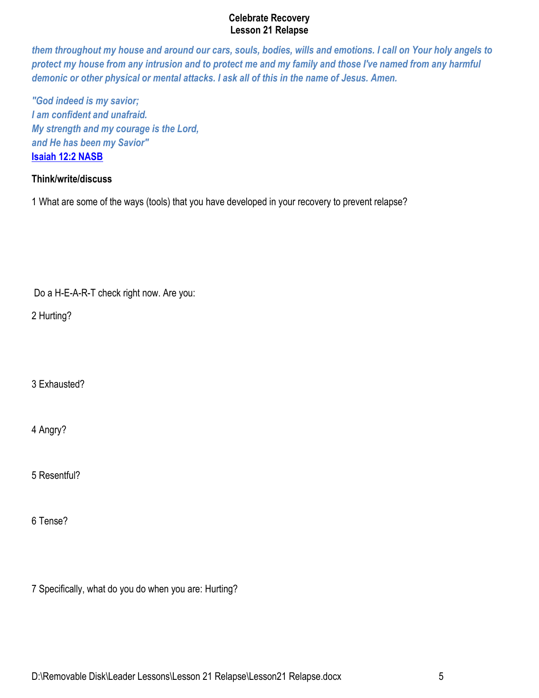*them throughout my house and around our cars, souls, bodies, wills and emotions. I call on Your holy angels to protect my house from any intrusion and to protect me and my family and those I've named from any harmful demonic or other physical or mental attacks. I ask all of this in the name of Jesus. Amen.*

*"God indeed is my savior; I am confident and unafraid. My strength and my courage is the Lord, and He has been my Savior"* **[Isaiah 12:2 NASB](http://biblegateway.com/passage/?search=Isaiah+12%3A2&version=NASB)**

### **Think/write/discuss**

1 What are some of the ways (tools) that you have developed in your recovery to prevent relapse?

Do a H-E-A-R-T check right now. Are you:

2 Hurting?

3 Exhausted?

4 Angry?

5 Resentful?

6 Tense?

7 Specifically, what do you do when you are: Hurting?